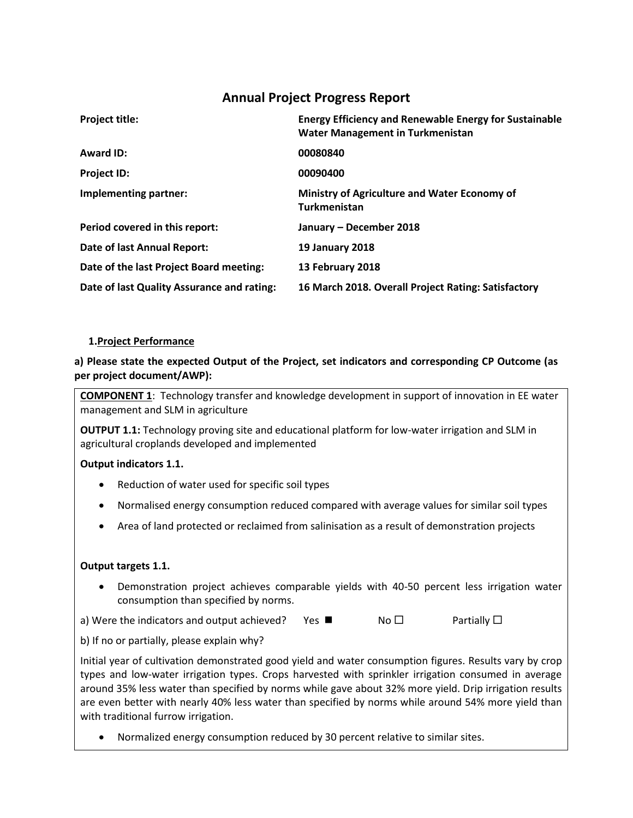# **Annual Project Progress Report**

| <b>Project title:</b>                      | <b>Energy Efficiency and Renewable Energy for Sustainable</b><br><b>Water Management in Turkmenistan</b> |
|--------------------------------------------|----------------------------------------------------------------------------------------------------------|
| <b>Award ID:</b>                           | 00080840                                                                                                 |
| <b>Project ID:</b>                         | 00090400                                                                                                 |
| Implementing partner:                      | Ministry of Agriculture and Water Economy of<br><b>Turkmenistan</b>                                      |
| Period covered in this report:             | January - December 2018                                                                                  |
| Date of last Annual Report:                | <b>19 January 2018</b>                                                                                   |
| Date of the last Project Board meeting:    | 13 February 2018                                                                                         |
| Date of last Quality Assurance and rating: | 16 March 2018. Overall Project Rating: Satisfactory                                                      |

#### **1.Project Performance**

#### **a) Please state the expected Output of the Project, set indicators and corresponding CP Outcome (as per project document/AWP):**

**COMPONENT 1**: Technology transfer and knowledge development in support of innovation in EE water management and SLM in agriculture

**OUTPUT 1.1:** Technology proving site and educational platform for low-water irrigation and SLM in agricultural croplands developed and implemented

#### **Output indicators 1.1.**

- Reduction of water used for specific soil types
- Normalised energy consumption reduced compared with average values for similar soil types
- Area of land protected or reclaimed from salinisation as a result of demonstration projects

#### **Output targets 1.1.**

• Demonstration project achieves comparable yields with 40-50 percent less irrigation water consumption than specified by norms.

a) Were the indicators and output achieved? Yes  $\blacksquare$  No  $\square$  Partially  $\square$ 

b) If no or partially, please explain why?

Initial year of cultivation demonstrated good yield and water consumption figures. Results vary by crop types and low-water irrigation types. Crops harvested with sprinkler irrigation consumed in average around 35% less water than specified by norms while gave about 32% more yield. Drip irrigation results are even better with nearly 40% less water than specified by norms while around 54% more yield than with traditional furrow irrigation.

• Normalized energy consumption reduced by 30 percent relative to similar sites.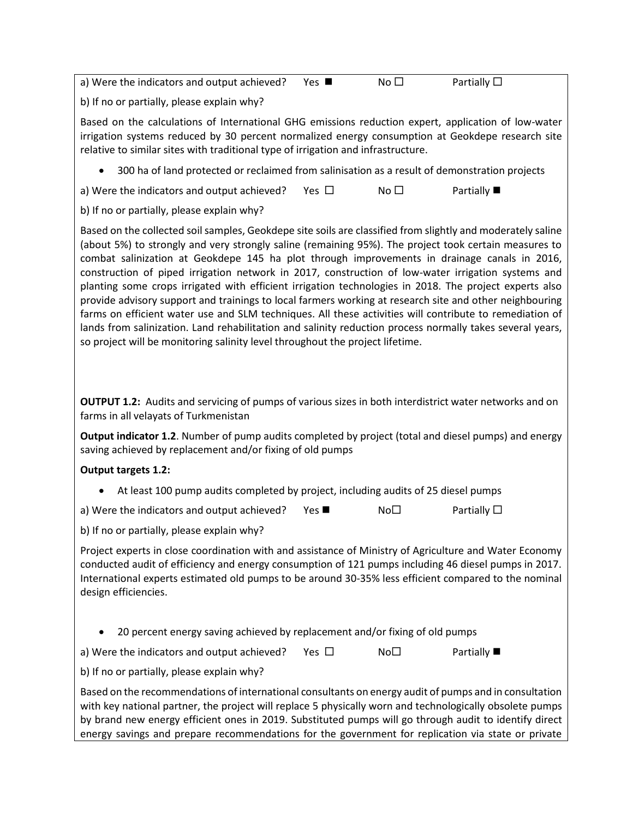a) Were the indicators and output achieved? Yes  $\blacksquare$  No  $\square$  Partially  $\square$ b) If no or partially, please explain why? Based on the calculations of International GHG emissions reduction expert, application of low-water irrigation systems reduced by 30 percent normalized energy consumption at Geokdepe research site relative to similar sites with traditional type of irrigation and infrastructure. • 300 ha of land protected or reclaimed from salinisation as a result of demonstration projects a) Were the indicators and output achieved? Yes  $\Box$  No  $\Box$  Partially  $\blacksquare$ b) If no or partially, please explain why? Based on the collected soil samples, Geokdepe site soils are classified from slightly and moderately saline (about 5%) to strongly and very strongly saline (remaining 95%). The project took certain measures to combat salinization at Geokdepe 145 ha plot through improvements in drainage canals in 2016, construction of piped irrigation network in 2017, construction of low-water irrigation systems and planting some crops irrigated with efficient irrigation technologies in 2018. The project experts also provide advisory support and trainings to local farmers working at research site and other neighbouring farms on efficient water use and SLM techniques. All these activities will contribute to remediation of lands from salinization. Land rehabilitation and salinity reduction process normally takes several years, so project will be monitoring salinity level throughout the project lifetime.

**OUTPUT 1.2:** Audits and servicing of pumps of various sizes in both interdistrict water networks and on farms in all velayats of Turkmenistan

**Output indicator 1.2**. Number of pump audits completed by project (total and diesel pumps) and energy saving achieved by replacement and/or fixing of old pumps

### **Output targets 1.2:**

• At least 100 pump audits completed by project, including audits of 25 diesel pumps

a) Were the indicators and output achieved? Yes  $\blacksquare$  No $\Box$  Partially  $\Box$ 

b) If no or partially, please explain why?

Project experts in close coordination with and assistance of Ministry of Agriculture and Water Economy conducted audit of efficiency and energy consumption of 121 pumps including 46 diesel pumps in 2017. International experts estimated old pumps to be around 30-35% less efficient compared to the nominal design efficiencies.

• 20 percent energy saving achieved by replacement and/or fixing of old pumps

a) Were the indicators and output achieved? Yes  $\square$  No  $\square$  Partially  $\square$ 

b) If no or partially, please explain why?

Based on the recommendations of international consultants on energy audit of pumps and in consultation with key national partner, the project will replace 5 physically worn and technologically obsolete pumps by brand new energy efficient ones in 2019. Substituted pumps will go through audit to identify direct energy savings and prepare recommendations for the government for replication via state or private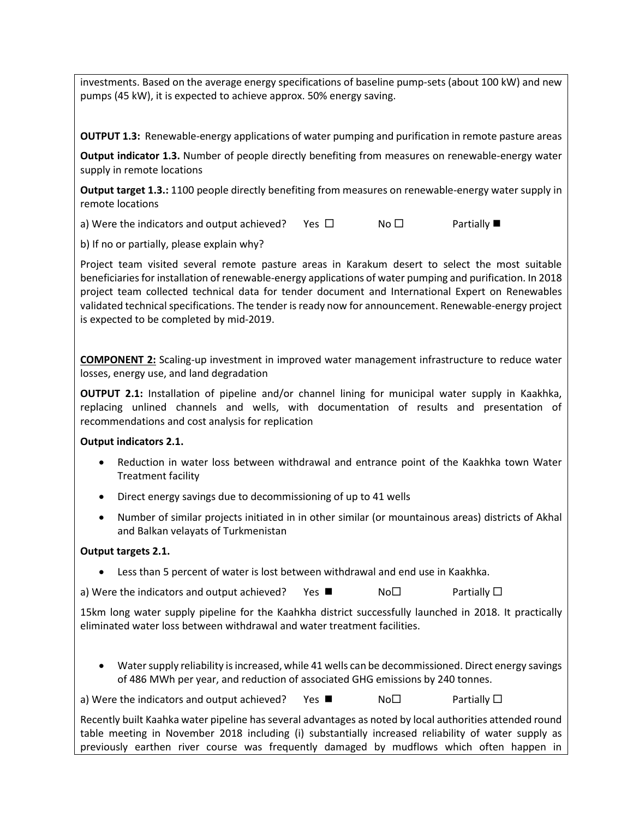investments. Based on the average energy specifications of baseline pump-sets (about 100 kW) and new pumps (45 kW), it is expected to achieve approx. 50% energy saving.

**OUTPUT 1.3:** Renewable-energy applications of water pumping and purification in remote pasture areas

**Output indicator 1.3.** Number of people directly benefiting from measures on renewable-energy water supply in remote locations

**Output target 1.3.:** 1100 people directly benefiting from measures on renewable-energy water supply in remote locations

a) Were the indicators and output achieved? Yes  $\square$  No  $\square$  Partially

b) If no or partially, please explain why?

Project team visited several remote pasture areas in Karakum desert to select the most suitable beneficiaries for installation of renewable-energy applications of water pumping and purification. In 2018 project team collected technical data for tender document and International Expert on Renewables validated technical specifications. The tender is ready now for announcement. Renewable-energy project is expected to be completed by mid-2019.

**COMPONENT 2:** Scaling-up investment in improved water management infrastructure to reduce water losses, energy use, and land degradation

**OUTPUT 2.1:** Installation of pipeline and/or channel lining for municipal water supply in Kaakhka, replacing unlined channels and wells, with documentation of results and presentation of recommendations and cost analysis for replication

#### **Output indicators 2.1.**

- Reduction in water loss between withdrawal and entrance point of the Kaakhka town Water Treatment facility
- Direct energy savings due to decommissioning of up to 41 wells
- Number of similar projects initiated in in other similar (or mountainous areas) districts of Akhal and Balkan velayats of Turkmenistan

#### **Output targets 2.1.**

• Less than 5 percent of water is lost between withdrawal and end use in Kaakhka.

a) Were the indicators and output achieved? Yes  $\blacksquare$  No $\Box$  Partially  $\Box$ 

15km long water supply pipeline for the Kaahkha district successfully launched in 2018. It practically eliminated water loss between withdrawal and water treatment facilities.

• Water supply reliability is increased, while 41 wells can be decommissioned. Direct energy savings of 486 MWh per year, and reduction of associated GHG emissions by 240 tonnes.

a) Were the indicators and output achieved? Yes  $\blacksquare$  No  $\square$  Partially  $\square$ 

Recently built Kaahka water pipeline has several advantages as noted by local authorities attended round table meeting in November 2018 including (i) substantially increased reliability of water supply as previously earthen river course was frequently damaged by mudflows which often happen in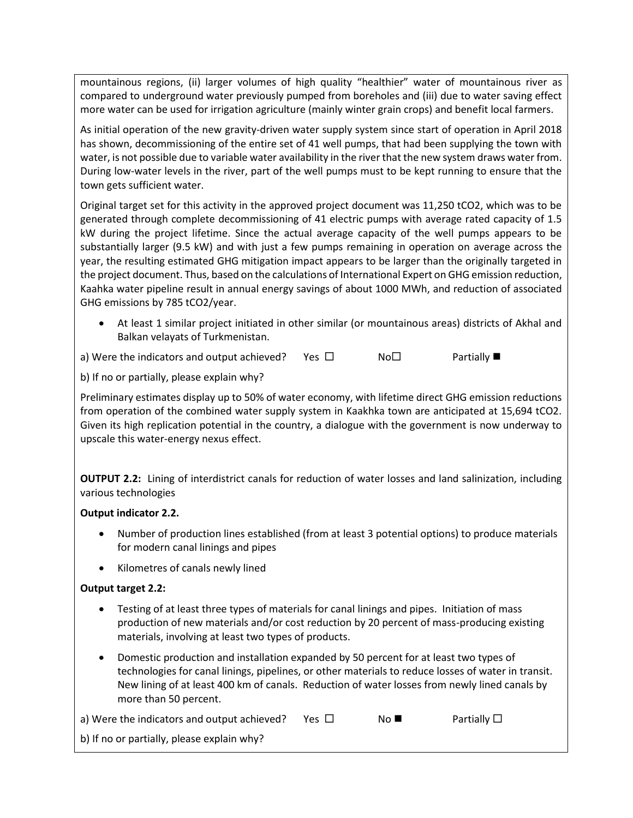mountainous regions, (ii) larger volumes of high quality "healthier" water of mountainous river as compared to underground water previously pumped from boreholes and (iii) due to water saving effect more water can be used for irrigation agriculture (mainly winter grain crops) and benefit local farmers.

As initial operation of the new gravity-driven water supply system since start of operation in April 2018 has shown, decommissioning of the entire set of 41 well pumps, that had been supplying the town with water, is not possible due to variable water availability in the river that the new system draws water from. During low-water levels in the river, part of the well pumps must to be kept running to ensure that the town gets sufficient water.

Original target set for this activity in the approved project document was 11,250 tCO2, which was to be generated through complete decommissioning of 41 electric pumps with average rated capacity of 1.5 kW during the project lifetime. Since the actual average capacity of the well pumps appears to be substantially larger (9.5 kW) and with just a few pumps remaining in operation on average across the year, the resulting estimated GHG mitigation impact appears to be larger than the originally targeted in the project document. Thus, based on the calculations of International Expert on GHG emission reduction, Kaahka water pipeline result in annual energy savings of about 1000 MWh, and reduction of associated GHG emissions by 785 tCO2/year.

• At least 1 similar project initiated in other similar (or mountainous areas) districts of Akhal and Balkan velayats of Turkmenistan.

a) Were the indicators and output achieved? Yes  $\square$  No  $\square$  Partially

b) If no or partially, please explain why?

Preliminary estimates display up to 50% of water economy, with lifetime direct GHG emission reductions from operation of the combined water supply system in Kaakhka town are anticipated at 15,694 tCO2. Given its high replication potential in the country, a dialogue with the government is now underway to upscale this water-energy nexus effect.

**OUTPUT 2.2:** Lining of interdistrict canals for reduction of water losses and land salinization, including various technologies

### **Output indicator 2.2.**

- Number of production lines established (from at least 3 potential options) to produce materials for modern canal linings and pipes
- Kilometres of canals newly lined

### **Output target 2.2:**

- Testing of at least three types of materials for canal linings and pipes. Initiation of mass production of new materials and/or cost reduction by 20 percent of mass-producing existing materials, involving at least two types of products.
- Domestic production and installation expanded by 50 percent for at least two types of technologies for canal linings, pipelines, or other materials to reduce losses of water in transit. New lining of at least 400 km of canals. Reduction of water losses from newly lined canals by more than 50 percent.

| a) Were the indicators and output achieved? | Yes $\Box$ | No N | Partially $\square$ |
|---------------------------------------------|------------|------|---------------------|
|---------------------------------------------|------------|------|---------------------|

b) If no or partially, please explain why?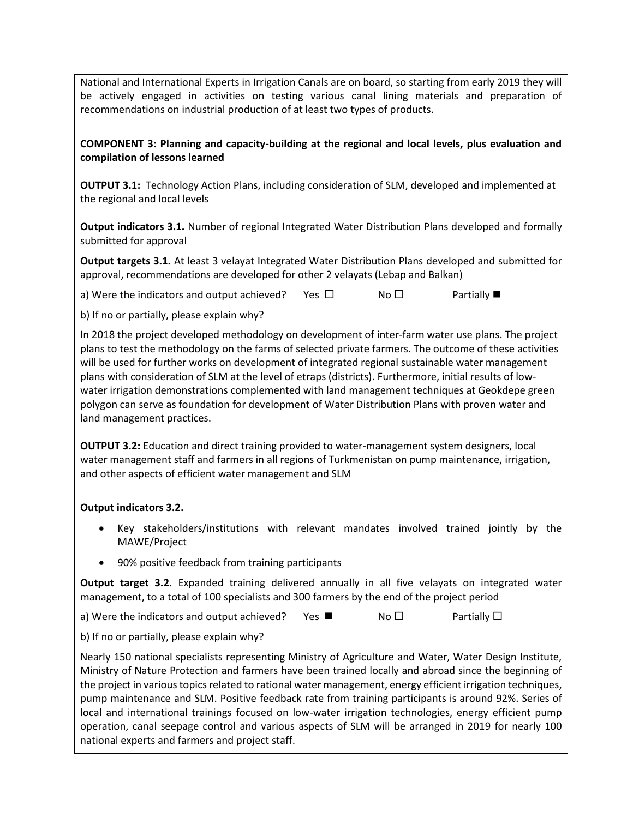National and International Experts in Irrigation Canals are on board, so starting from early 2019 they will be actively engaged in activities on testing various canal lining materials and preparation of recommendations on industrial production of at least two types of products.

### **COMPONENT 3: Planning and capacity-building at the regional and local levels, plus evaluation and compilation of lessons learned**

**OUTPUT 3.1:** Technology Action Plans, including consideration of SLM, developed and implemented at the regional and local levels

**Output indicators 3.1.** Number of regional Integrated Water Distribution Plans developed and formally submitted for approval

**Output targets 3.1.** At least 3 velayat Integrated Water Distribution Plans developed and submitted for approval, recommendations are developed for other 2 velayats (Lebap and Balkan)

a) Were the indicators and output achieved? Yes  $\Box$  No  $\Box$  Partially

b) If no or partially, please explain why?

In 2018 the project developed methodology on development of inter-farm water use plans. The project plans to test the methodology on the farms of selected private farmers. The outcome of these activities will be used for further works on development of integrated regional sustainable water management plans with consideration of SLM at the level of etraps (districts). Furthermore, initial results of lowwater irrigation demonstrations complemented with land management techniques at Geokdepe green polygon can serve as foundation for development of Water Distribution Plans with proven water and land management practices.

**OUTPUT 3.2:** Education and direct training provided to water-management system designers, local water management staff and farmers in all regions of Turkmenistan on pump maintenance, irrigation, and other aspects of efficient water management and SLM

### **Output indicators 3.2.**

- Key stakeholders/institutions with relevant mandates involved trained jointly by the MAWE/Project
- 90% positive feedback from training participants

**Output target 3.2.** Expanded training delivered annually in all five velayats on integrated water management, to a total of 100 specialists and 300 farmers by the end of the project period

a) Were the indicators and output achieved? Yes  $\blacksquare$  No  $\square$  Partially  $\square$ 

b) If no or partially, please explain why?

Nearly 150 national specialists representing Ministry of Agriculture and Water, Water Design Institute, Ministry of Nature Protection and farmers have been trained locally and abroad since the beginning of the project in various topics related to rational water management, energy efficient irrigation techniques, pump maintenance and SLM. Positive feedback rate from training participants is around 92%. Series of local and international trainings focused on low-water irrigation technologies, energy efficient pump operation, canal seepage control and various aspects of SLM will be arranged in 2019 for nearly 100 national experts and farmers and project staff.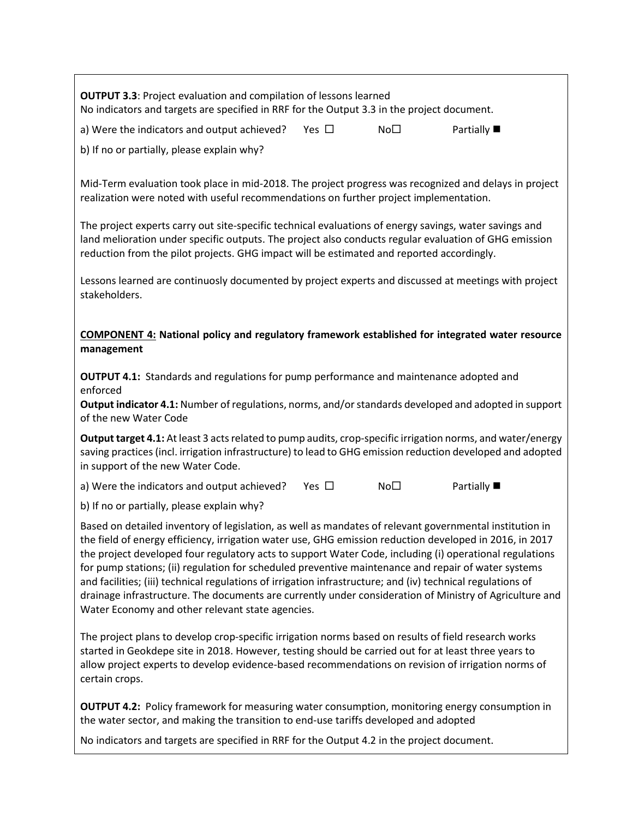**OUTPUT 3.3**: Project evaluation and compilation of lessons learned No indicators and targets are specified in RRF for the Output 3.3 in the project document. a) Were the indicators and output achieved? Yes  $\square$  No  $\square$  Partially b) If no or partially, please explain why? Mid-Term evaluation took place in mid-2018. The project progress was recognized and delays in project realization were noted with useful recommendations on further project implementation. The project experts carry out site-specific technical evaluations of energy savings, water savings and land melioration under specific outputs. The project also conducts regular evaluation of GHG emission reduction from the pilot projects. GHG impact will be estimated and reported accordingly. Lessons learned are continuosly documented by project experts and discussed at meetings with project stakeholders. **COMPONENT 4: National policy and regulatory framework established for integrated water resource management OUTPUT 4.1:** Standards and regulations for pump performance and maintenance adopted and enforced **Output indicator 4.1:** Number of regulations, norms, and/or standards developed and adopted in support of the new Water Code **Output target 4.1:** At least 3 acts related to pump audits, crop-specific irrigation norms, and water/energy saving practices (incl. irrigation infrastructure) to lead to GHG emission reduction developed and adopted in support of the new Water Code. a) Were the indicators and output achieved? Yes  $\square$  No  $\square$  Partially b) If no or partially, please explain why? Based on detailed inventory of legislation, as well as mandates of relevant governmental institution in the field of energy efficiency, irrigation water use, GHG emission reduction developed in 2016, in 2017 the project developed four regulatory acts to support Water Code, including (i) operational regulations for pump stations; (ii) regulation for scheduled preventive maintenance and repair of water systems and facilities; (iii) technical regulations of irrigation infrastructure; and (iv) technical regulations of drainage infrastructure. The documents are currently under consideration of Ministry of Agriculture and Water Economy and other relevant state agencies.

The project plans to develop crop-specific irrigation norms based on results of field research works started in Geokdepe site in 2018. However, testing should be carried out for at least three years to allow project experts to develop evidence-based recommendations on revision of irrigation norms of certain crops.

**OUTPUT 4.2:** Policy framework for measuring water consumption, monitoring energy consumption in the water sector, and making the transition to end-use tariffs developed and adopted

No indicators and targets are specified in RRF for the Output 4.2 in the project document.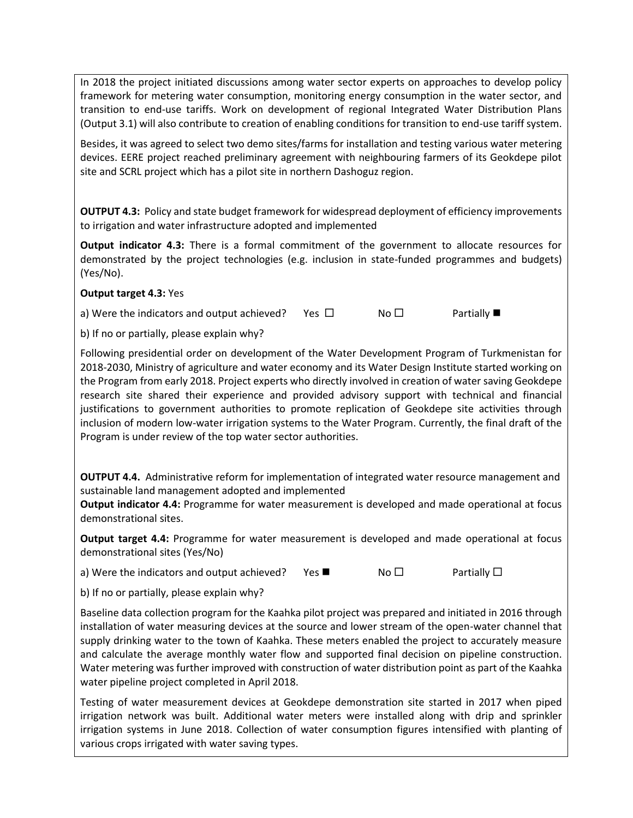In 2018 the project initiated discussions among water sector experts on approaches to develop policy framework for metering water consumption, monitoring energy consumption in the water sector, and transition to end-use tariffs. Work on development of regional Integrated Water Distribution Plans (Output 3.1) will also contribute to creation of enabling conditions for transition to end-use tariff system.

Besides, it was agreed to select two demo sites/farms for installation and testing various water metering devices. EERE project reached preliminary agreement with neighbouring farmers of its Geokdepe pilot site and SCRL project which has a pilot site in northern Dashoguz region.

**OUTPUT 4.3:** Policy and state budget framework for widespread deployment of efficiency improvements to irrigation and water infrastructure adopted and implemented

**Output indicator 4.3:** There is a formal commitment of the government to allocate resources for demonstrated by the project technologies (e.g. inclusion in state-funded programmes and budgets) (Yes/No).

#### **Output target 4.3:** Yes

a) Were the indicators and output achieved? Yes  $\Box$  No  $\Box$  Partially

b) If no or partially, please explain why?

Following presidential order on development of the Water Development Program of Turkmenistan for 2018-2030, Ministry of agriculture and water economy and its Water Design Institute started working on the Program from early 2018. Project experts who directly involved in creation of water saving Geokdepe research site shared their experience and provided advisory support with technical and financial justifications to government authorities to promote replication of Geokdepe site activities through inclusion of modern low-water irrigation systems to the Water Program. Currently, the final draft of the Program is under review of the top water sector authorities.

**OUTPUT 4.4.** Administrative reform for implementation of integrated water resource management and sustainable land management adopted and implemented

**Output indicator 4.4:** Programme for water measurement is developed and made operational at focus demonstrational sites.

**Output target 4.4:** Programme for water measurement is developed and made operational at focus demonstrational sites (Yes/No)

a) Were the indicators and output achieved? Yes  $\blacksquare$  No  $\square$  Partially  $\square$ 

b) If no or partially, please explain why?

Baseline data collection program for the Kaahka pilot project was prepared and initiated in 2016 through installation of water measuring devices at the source and lower stream of the open-water channel that supply drinking water to the town of Kaahka. These meters enabled the project to accurately measure and calculate the average monthly water flow and supported final decision on pipeline construction. Water metering was further improved with construction of water distribution point as part of the Kaahka water pipeline project completed in April 2018.

Testing of water measurement devices at Geokdepe demonstration site started in 2017 when piped irrigation network was built. Additional water meters were installed along with drip and sprinkler irrigation systems in June 2018. Collection of water consumption figures intensified with planting of various crops irrigated with water saving types.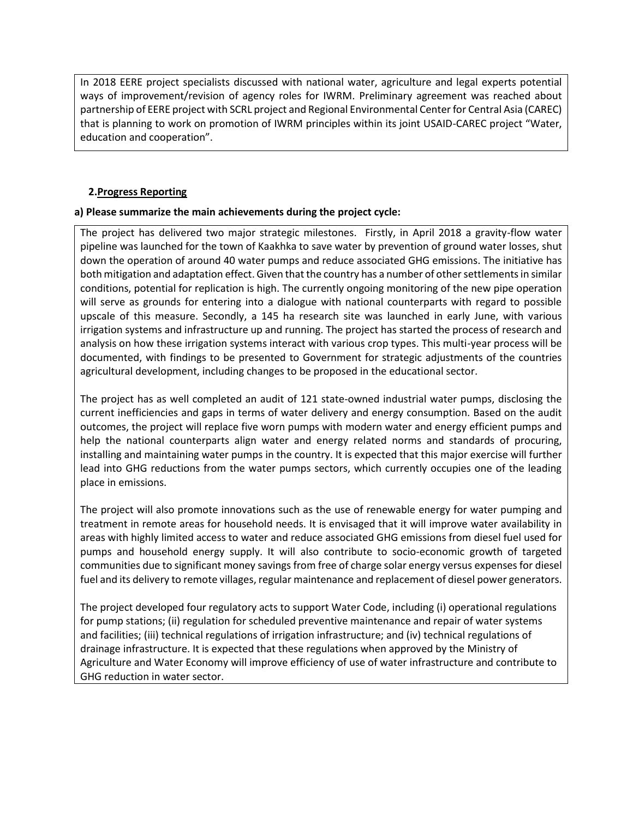In 2018 EERE project specialists discussed with national water, agriculture and legal experts potential ways of improvement/revision of agency roles for IWRM. Preliminary agreement was reached about partnership of EERE project with SCRL project and Regional Environmental Center for Central Asia (CAREC) that is planning to work on promotion of IWRM principles within its joint USAID-CAREC project "Water, education and cooperation".

#### **2.Progress Reporting**

#### **a) Please summarize the main achievements during the project cycle:**

The project has delivered two major strategic milestones. Firstly, in April 2018 a gravity-flow water pipeline was launched for the town of Kaakhka to save water by prevention of ground water losses, shut down the operation of around 40 water pumps and reduce associated GHG emissions. The initiative has both mitigation and adaptation effect. Given that the country has a number of other settlements in similar conditions, potential for replication is high. The currently ongoing monitoring of the new pipe operation will serve as grounds for entering into a dialogue with national counterparts with regard to possible upscale of this measure. Secondly, a 145 ha research site was launched in early June, with various irrigation systems and infrastructure up and running. The project has started the process of research and analysis on how these irrigation systems interact with various crop types. This multi-year process will be documented, with findings to be presented to Government for strategic adjustments of the countries agricultural development, including changes to be proposed in the educational sector.

The project has as well completed an audit of 121 state-owned industrial water pumps, disclosing the current inefficiencies and gaps in terms of water delivery and energy consumption. Based on the audit outcomes, the project will replace five worn pumps with modern water and energy efficient pumps and help the national counterparts align water and energy related norms and standards of procuring, installing and maintaining water pumps in the country. It is expected that this major exercise will further lead into GHG reductions from the water pumps sectors, which currently occupies one of the leading place in emissions.

The project will also promote innovations such as the use of renewable energy for water pumping and treatment in remote areas for household needs. It is envisaged that it will improve water availability in areas with highly limited access to water and reduce associated GHG emissions from diesel fuel used for pumps and household energy supply. It will also contribute to socio-economic growth of targeted communities due to significant money savings from free of charge solar energy versus expenses for diesel fuel and its delivery to remote villages, regular maintenance and replacement of diesel power generators.

The project developed four regulatory acts to support Water Code, including (i) operational regulations for pump stations; (ii) regulation for scheduled preventive maintenance and repair of water systems and facilities; (iii) technical regulations of irrigation infrastructure; and (iv) technical regulations of drainage infrastructure. It is expected that these regulations when approved by the Ministry of Agriculture and Water Economy will improve efficiency of use of water infrastructure and contribute to GHG reduction in water sector.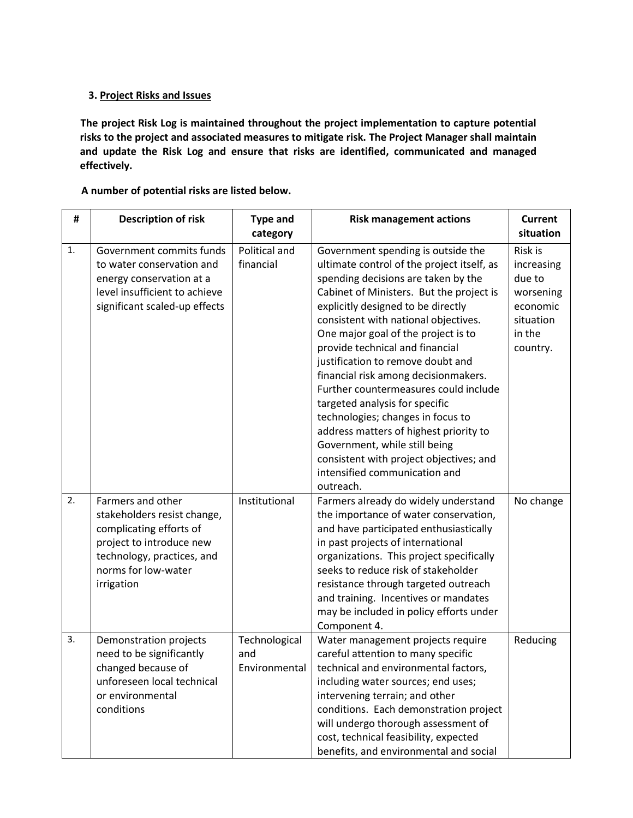#### **3. Project Risks and Issues**

**The project Risk Log is maintained throughout the project implementation to capture potential risks to the project and associated measures to mitigate risk. The Project Manager shall maintain and update the Risk Log and ensure that risks are identified, communicated and managed effectively.**

#### **A number of potential risks are listed below.**

| #  | <b>Description of risk</b>                                                                                                                                                 | <b>Type and</b><br>category           | <b>Risk management actions</b>                                                                                                                                                                                                                                                                                                                                                                                                                                                                                                                                                                                                                                                               | <b>Current</b><br>situation                                                                 |
|----|----------------------------------------------------------------------------------------------------------------------------------------------------------------------------|---------------------------------------|----------------------------------------------------------------------------------------------------------------------------------------------------------------------------------------------------------------------------------------------------------------------------------------------------------------------------------------------------------------------------------------------------------------------------------------------------------------------------------------------------------------------------------------------------------------------------------------------------------------------------------------------------------------------------------------------|---------------------------------------------------------------------------------------------|
| 1. | Government commits funds<br>to water conservation and<br>energy conservation at a<br>level insufficient to achieve<br>significant scaled-up effects                        | Political and<br>financial            | Government spending is outside the<br>ultimate control of the project itself, as<br>spending decisions are taken by the<br>Cabinet of Ministers. But the project is<br>explicitly designed to be directly<br>consistent with national objectives.<br>One major goal of the project is to<br>provide technical and financial<br>justification to remove doubt and<br>financial risk among decisionmakers.<br>Further countermeasures could include<br>targeted analysis for specific<br>technologies; changes in focus to<br>address matters of highest priority to<br>Government, while still being<br>consistent with project objectives; and<br>intensified communication and<br>outreach. | Risk is<br>increasing<br>due to<br>worsening<br>economic<br>situation<br>in the<br>country. |
| 2. | Farmers and other<br>stakeholders resist change,<br>complicating efforts of<br>project to introduce new<br>technology, practices, and<br>norms for low-water<br>irrigation | Institutional                         | Farmers already do widely understand<br>the importance of water conservation,<br>and have participated enthusiastically<br>in past projects of international<br>organizations. This project specifically<br>seeks to reduce risk of stakeholder<br>resistance through targeted outreach<br>and training. Incentives or mandates<br>may be included in policy efforts under<br>Component 4.                                                                                                                                                                                                                                                                                                   | No change                                                                                   |
| 3. | Demonstration projects<br>need to be significantly<br>changed because of<br>unforeseen local technical<br>or environmental<br>conditions                                   | Technological<br>and<br>Environmental | Water management projects require<br>careful attention to many specific<br>technical and environmental factors,<br>including water sources; end uses;<br>intervening terrain; and other<br>conditions. Each demonstration project<br>will undergo thorough assessment of<br>cost, technical feasibility, expected<br>benefits, and environmental and social                                                                                                                                                                                                                                                                                                                                  | Reducing                                                                                    |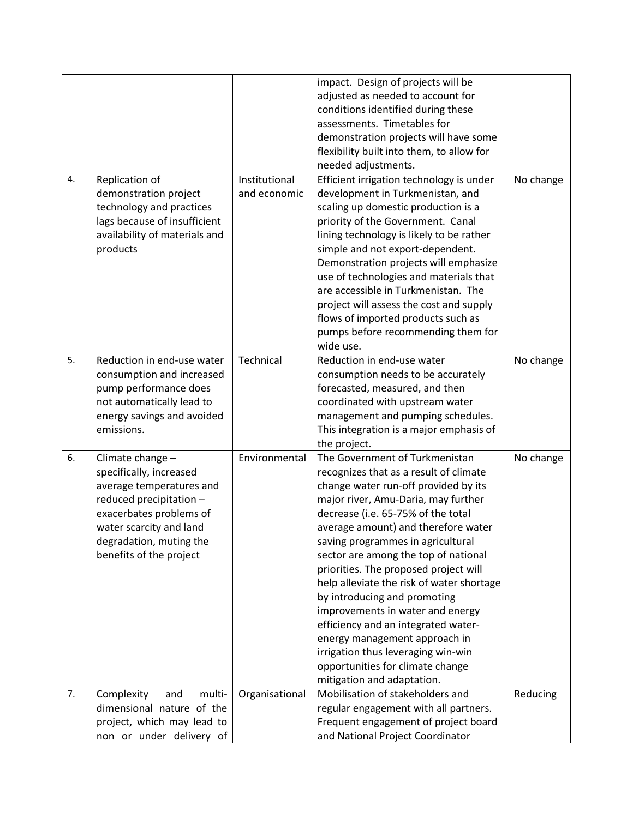|    |                               |                | impact. Design of projects will be        |           |
|----|-------------------------------|----------------|-------------------------------------------|-----------|
|    |                               |                | adjusted as needed to account for         |           |
|    |                               |                | conditions identified during these        |           |
|    |                               |                | assessments. Timetables for               |           |
|    |                               |                | demonstration projects will have some     |           |
|    |                               |                | flexibility built into them, to allow for |           |
|    |                               |                | needed adjustments.                       |           |
| 4. | Replication of                | Institutional  | Efficient irrigation technology is under  | No change |
|    | demonstration project         | and economic   |                                           |           |
|    |                               |                | development in Turkmenistan, and          |           |
|    | technology and practices      |                | scaling up domestic production is a       |           |
|    | lags because of insufficient  |                | priority of the Government. Canal         |           |
|    | availability of materials and |                | lining technology is likely to be rather  |           |
|    | products                      |                | simple and not export-dependent.          |           |
|    |                               |                | Demonstration projects will emphasize     |           |
|    |                               |                | use of technologies and materials that    |           |
|    |                               |                | are accessible in Turkmenistan. The       |           |
|    |                               |                | project will assess the cost and supply   |           |
|    |                               |                | flows of imported products such as        |           |
|    |                               |                | pumps before recommending them for        |           |
|    |                               |                | wide use.                                 |           |
| 5. | Reduction in end-use water    | Technical      | Reduction in end-use water                | No change |
|    | consumption and increased     |                | consumption needs to be accurately        |           |
|    | pump performance does         |                | forecasted, measured, and then            |           |
|    | not automatically lead to     |                | coordinated with upstream water           |           |
|    | energy savings and avoided    |                | management and pumping schedules.         |           |
|    | emissions.                    |                | This integration is a major emphasis of   |           |
|    |                               |                | the project.                              |           |
| 6. | Climate change -              | Environmental  | The Government of Turkmenistan            | No change |
|    | specifically, increased       |                | recognizes that as a result of climate    |           |
|    | average temperatures and      |                | change water run-off provided by its      |           |
|    | reduced precipitation -       |                | major river, Amu-Daria, may further       |           |
|    | exacerbates problems of       |                | decrease (i.e. 65-75% of the total        |           |
|    | water scarcity and land       |                | average amount) and therefore water       |           |
|    | degradation, muting the       |                | saving programmes in agricultural         |           |
|    | benefits of the project       |                | sector are among the top of national      |           |
|    |                               |                | priorities. The proposed project will     |           |
|    |                               |                | help alleviate the risk of water shortage |           |
|    |                               |                | by introducing and promoting              |           |
|    |                               |                | improvements in water and energy          |           |
|    |                               |                | efficiency and an integrated water-       |           |
|    |                               |                | energy management approach in             |           |
|    |                               |                | irrigation thus leveraging win-win        |           |
|    |                               |                | opportunities for climate change          |           |
|    |                               |                | mitigation and adaptation.                |           |
| 7. | Complexity<br>multi-<br>and   | Organisational | Mobilisation of stakeholders and          | Reducing  |
|    | dimensional nature of the     |                | regular engagement with all partners.     |           |
|    | project, which may lead to    |                | Frequent engagement of project board      |           |
|    | non or under delivery of      |                | and National Project Coordinator          |           |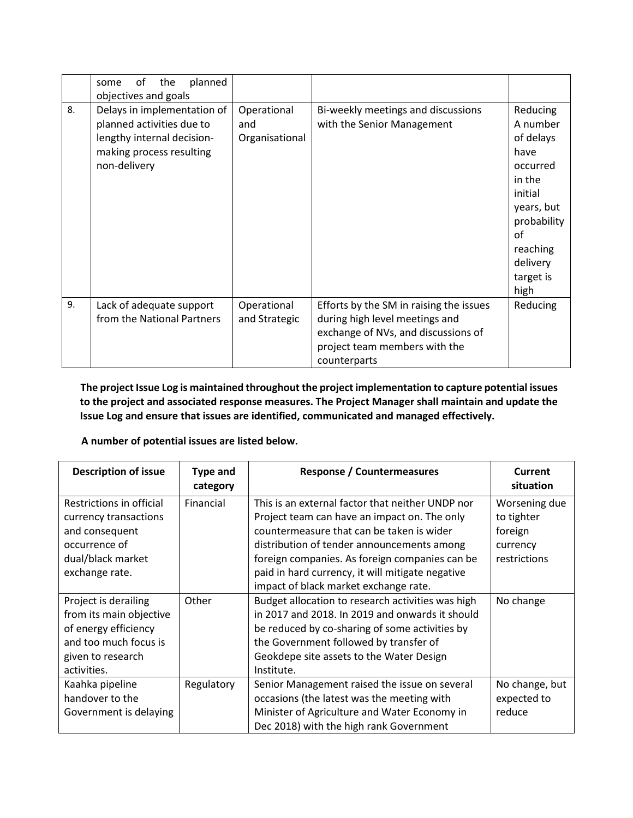|    | planned<br>0f<br>the<br>some<br>objectives and goals                                                                               |                                      |                                                                                                                                                                   |                                                                                                                                                            |
|----|------------------------------------------------------------------------------------------------------------------------------------|--------------------------------------|-------------------------------------------------------------------------------------------------------------------------------------------------------------------|------------------------------------------------------------------------------------------------------------------------------------------------------------|
| 8. | Delays in implementation of<br>planned activities due to<br>lengthy internal decision-<br>making process resulting<br>non-delivery | Operational<br>and<br>Organisational | Bi-weekly meetings and discussions<br>with the Senior Management                                                                                                  | Reducing<br>A number<br>of delays<br>have<br>occurred<br>in the<br>initial<br>years, but<br>probability<br>of<br>reaching<br>delivery<br>target is<br>high |
| 9. | Lack of adequate support<br>from the National Partners                                                                             | Operational<br>and Strategic         | Efforts by the SM in raising the issues<br>during high level meetings and<br>exchange of NVs, and discussions of<br>project team members with the<br>counterparts | Reducing                                                                                                                                                   |

**The project Issue Log is maintained throughout the project implementation to capture potential issues to the project and associated response measures. The Project Manager shall maintain and update the Issue Log and ensure that issues are identified, communicated and managed effectively.**

## **A number of potential issues are listed below.**

| <b>Description of issue</b> | <b>Type and</b><br>category | <b>Response / Countermeasures</b>                 | Current<br>situation |
|-----------------------------|-----------------------------|---------------------------------------------------|----------------------|
| Restrictions in official    | Financial                   | This is an external factor that neither UNDP nor  | Worsening due        |
| currency transactions       |                             | Project team can have an impact on. The only      | to tighter           |
| and consequent              |                             | countermeasure that can be taken is wider         | foreign              |
| occurrence of               |                             | distribution of tender announcements among        | currency             |
| dual/black market           |                             | foreign companies. As foreign companies can be    | restrictions         |
| exchange rate.              |                             | paid in hard currency, it will mitigate negative  |                      |
|                             |                             | impact of black market exchange rate.             |                      |
| Project is derailing        | Other                       | Budget allocation to research activities was high | No change            |
| from its main objective     |                             | in 2017 and 2018. In 2019 and onwards it should   |                      |
| of energy efficiency        |                             | be reduced by co-sharing of some activities by    |                      |
| and too much focus is       |                             | the Government followed by transfer of            |                      |
| given to research           |                             | Geokdepe site assets to the Water Design          |                      |
| activities.                 |                             | Institute.                                        |                      |
| Kaahka pipeline             | Regulatory                  | Senior Management raised the issue on several     | No change, but       |
| handover to the             |                             | occasions (the latest was the meeting with        | expected to          |
| Government is delaying      |                             | Minister of Agriculture and Water Economy in      | reduce               |
|                             |                             | Dec 2018) with the high rank Government           |                      |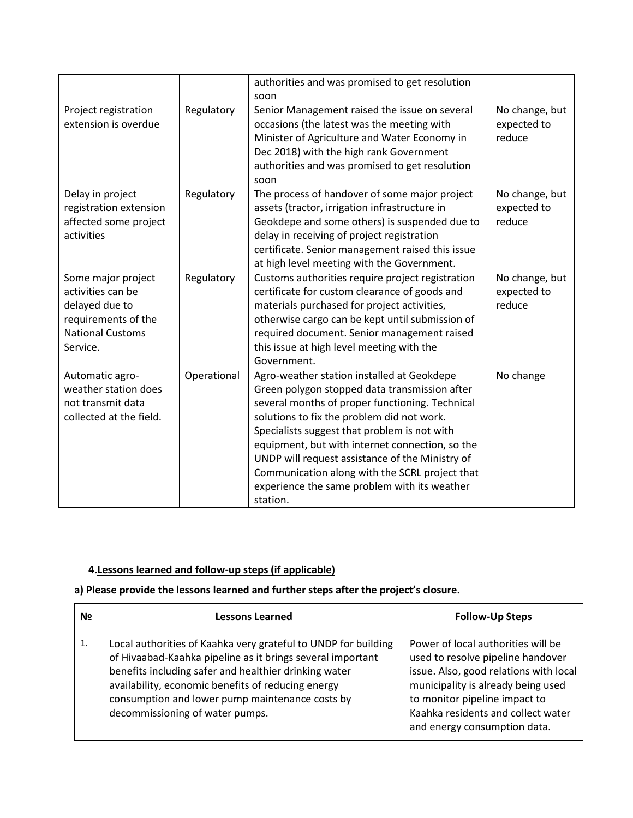|                                                                                                                         |             | authorities and was promised to get resolution<br>soon                                                                                                                                                                                                                                                                                                                                                                                                           |                                         |
|-------------------------------------------------------------------------------------------------------------------------|-------------|------------------------------------------------------------------------------------------------------------------------------------------------------------------------------------------------------------------------------------------------------------------------------------------------------------------------------------------------------------------------------------------------------------------------------------------------------------------|-----------------------------------------|
| Project registration<br>extension is overdue                                                                            | Regulatory  | Senior Management raised the issue on several<br>occasions (the latest was the meeting with<br>Minister of Agriculture and Water Economy in<br>Dec 2018) with the high rank Government<br>authorities and was promised to get resolution<br>soon                                                                                                                                                                                                                 | No change, but<br>expected to<br>reduce |
| Delay in project<br>registration extension<br>affected some project<br>activities                                       | Regulatory  | The process of handover of some major project<br>assets (tractor, irrigation infrastructure in<br>Geokdepe and some others) is suspended due to<br>delay in receiving of project registration<br>certificate. Senior management raised this issue<br>at high level meeting with the Government.                                                                                                                                                                  | No change, but<br>expected to<br>reduce |
| Some major project<br>activities can be<br>delayed due to<br>requirements of the<br><b>National Customs</b><br>Service. | Regulatory  | Customs authorities require project registration<br>certificate for custom clearance of goods and<br>materials purchased for project activities,<br>otherwise cargo can be kept until submission of<br>required document. Senior management raised<br>this issue at high level meeting with the<br>Government.                                                                                                                                                   | No change, but<br>expected to<br>reduce |
| Automatic agro-<br>weather station does<br>not transmit data<br>collected at the field.                                 | Operational | Agro-weather station installed at Geokdepe<br>Green polygon stopped data transmission after<br>several months of proper functioning. Technical<br>solutions to fix the problem did not work.<br>Specialists suggest that problem is not with<br>equipment, but with internet connection, so the<br>UNDP will request assistance of the Ministry of<br>Communication along with the SCRL project that<br>experience the same problem with its weather<br>station. | No change                               |

# **4.Lessons learned and follow-up steps (if applicable)**

# **a) Please provide the lessons learned and further steps after the project's closure.**

| N <sub>2</sub> | <b>Lessons Learned</b>                                                                                                                                                                                                                                                                                                            | <b>Follow-Up Steps</b>                                                                                                                                                                                                                                         |
|----------------|-----------------------------------------------------------------------------------------------------------------------------------------------------------------------------------------------------------------------------------------------------------------------------------------------------------------------------------|----------------------------------------------------------------------------------------------------------------------------------------------------------------------------------------------------------------------------------------------------------------|
| 1.             | Local authorities of Kaahka very grateful to UNDP for building<br>of Hivaabad-Kaahka pipeline as it brings several important<br>benefits including safer and healthier drinking water<br>availability, economic benefits of reducing energy<br>consumption and lower pump maintenance costs by<br>decommissioning of water pumps. | Power of local authorities will be<br>used to resolve pipeline handover<br>issue. Also, good relations with local<br>municipality is already being used<br>to monitor pipeline impact to<br>Kaahka residents and collect water<br>and energy consumption data. |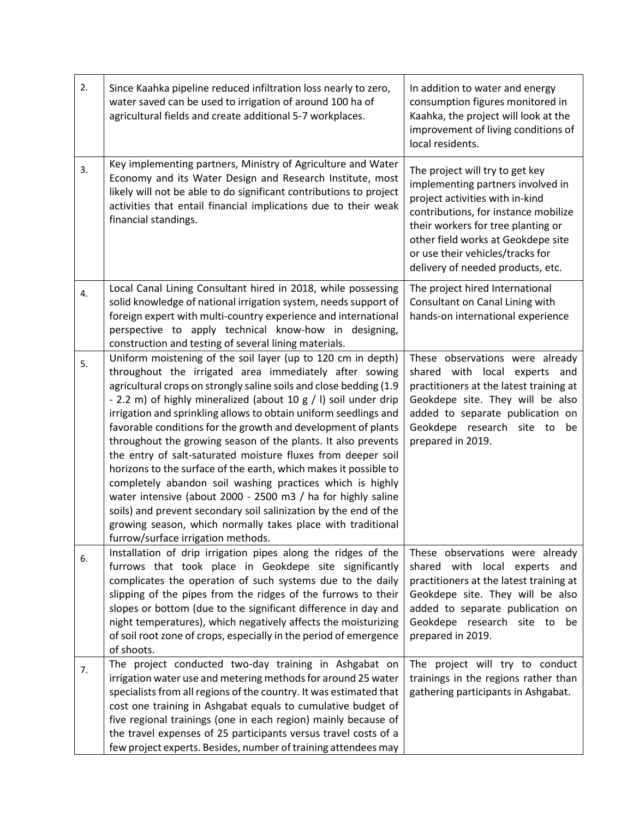| 2. | Since Kaahka pipeline reduced infiltration loss nearly to zero,<br>water saved can be used to irrigation of around 100 ha of<br>agricultural fields and create additional 5-7 workplaces.                                                                                                                                                                                                                                                                                                                                                                                                                                                                                                                                                                                                                                                                                                                       | In addition to water and energy<br>consumption figures monitored in<br>Kaahka, the project will look at the<br>improvement of living conditions of<br>local residents.                                                                                                                               |
|----|-----------------------------------------------------------------------------------------------------------------------------------------------------------------------------------------------------------------------------------------------------------------------------------------------------------------------------------------------------------------------------------------------------------------------------------------------------------------------------------------------------------------------------------------------------------------------------------------------------------------------------------------------------------------------------------------------------------------------------------------------------------------------------------------------------------------------------------------------------------------------------------------------------------------|------------------------------------------------------------------------------------------------------------------------------------------------------------------------------------------------------------------------------------------------------------------------------------------------------|
| 3. | Key implementing partners, Ministry of Agriculture and Water<br>Economy and its Water Design and Research Institute, most<br>likely will not be able to do significant contributions to project<br>activities that entail financial implications due to their weak<br>financial standings.                                                                                                                                                                                                                                                                                                                                                                                                                                                                                                                                                                                                                      | The project will try to get key<br>implementing partners involved in<br>project activities with in-kind<br>contributions, for instance mobilize<br>their workers for tree planting or<br>other field works at Geokdepe site<br>or use their vehicles/tracks for<br>delivery of needed products, etc. |
| 4. | Local Canal Lining Consultant hired in 2018, while possessing<br>solid knowledge of national irrigation system, needs support of<br>foreign expert with multi-country experience and international<br>perspective to apply technical know-how in designing,<br>construction and testing of several lining materials.                                                                                                                                                                                                                                                                                                                                                                                                                                                                                                                                                                                            | The project hired International<br>Consultant on Canal Lining with<br>hands-on international experience                                                                                                                                                                                              |
| 5. | Uniform moistening of the soil layer (up to 120 cm in depth)<br>throughout the irrigated area immediately after sowing<br>agricultural crops on strongly saline soils and close bedding (1.9<br>- 2.2 m) of highly mineralized (about 10 g / l) soil under drip<br>irrigation and sprinkling allows to obtain uniform seedlings and<br>favorable conditions for the growth and development of plants<br>throughout the growing season of the plants. It also prevents<br>the entry of salt-saturated moisture fluxes from deeper soil<br>horizons to the surface of the earth, which makes it possible to<br>completely abandon soil washing practices which is highly<br>water intensive (about 2000 - 2500 m3 / ha for highly saline<br>soils) and prevent secondary soil salinization by the end of the<br>growing season, which normally takes place with traditional<br>furrow/surface irrigation methods. | These observations were already<br>shared with local experts and<br>practitioners at the latest training at<br>Geokdepe site. They will be also<br>added to separate publication on<br>Geokdepe research site to<br>be<br>prepared in 2019.                                                          |
| 6. | Installation of drip irrigation pipes along the ridges of the<br>furrows that took place in Geokdepe site significantly<br>complicates the operation of such systems due to the daily<br>slipping of the pipes from the ridges of the furrows to their<br>slopes or bottom (due to the significant difference in day and<br>night temperatures), which negatively affects the moisturizing<br>of soil root zone of crops, especially in the period of emergence<br>of shoots.                                                                                                                                                                                                                                                                                                                                                                                                                                   | These observations were already<br>shared with local experts and<br>practitioners at the latest training at<br>Geokdepe site. They will be also<br>added to separate publication on<br>Geokdepe research site to be<br>prepared in 2019.                                                             |
| 7. | The project conducted two-day training in Ashgabat on<br>irrigation water use and metering methods for around 25 water<br>specialists from all regions of the country. It was estimated that<br>cost one training in Ashgabat equals to cumulative budget of<br>five regional trainings (one in each region) mainly because of<br>the travel expenses of 25 participants versus travel costs of a<br>few project experts. Besides, number of training attendees may                                                                                                                                                                                                                                                                                                                                                                                                                                             | The project will try to conduct<br>trainings in the regions rather than<br>gathering participants in Ashgabat.                                                                                                                                                                                       |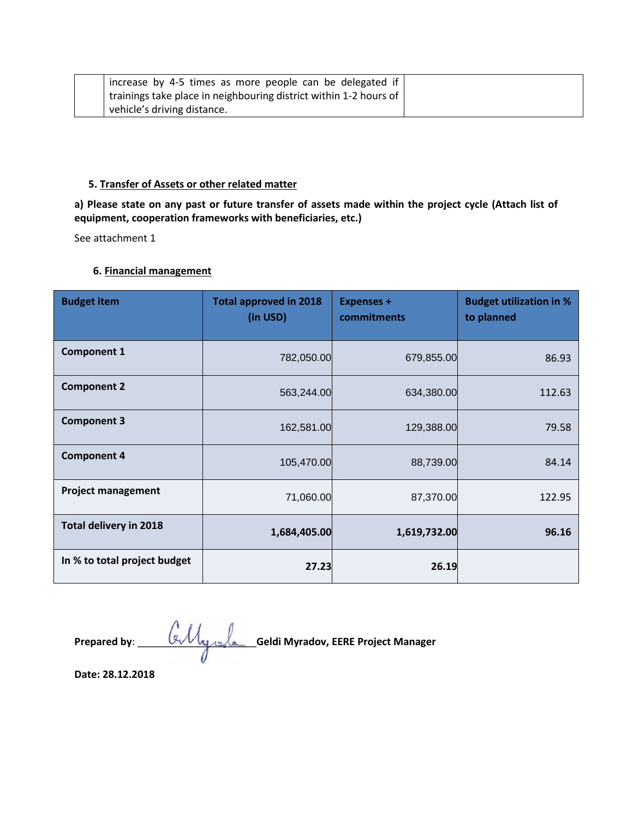| increase by 4-5 times as more people can be delegated if          |  |
|-------------------------------------------------------------------|--|
| trainings take place in neighbouring district within 1-2 hours of |  |
| vehicle's driving distance.                                       |  |

#### **5. Transfer of Assets or other related matter**

**a) Please state on any past or future transfer of assets made within the project cycle (Attach list of equipment, cooperation frameworks with beneficiaries, etc.)**

See attachment 1

# **6. Financial management**

| <b>Budget item</b>            | <b>Total approved in 2018</b><br>(in USD) | <b>Expenses +</b><br>commitments | <b>Budget utilization in %</b><br>to planned |
|-------------------------------|-------------------------------------------|----------------------------------|----------------------------------------------|
| <b>Component 1</b>            | 782,050.00                                | 679,855.00                       | 86.93                                        |
| <b>Component 2</b>            | 563,244.00                                | 634,380.00                       | 112.63                                       |
| <b>Component 3</b>            | 162,581.00                                | 129,388.00                       | 79.58                                        |
| <b>Component 4</b>            | 105,470.00                                | 88,739.00                        | 84.14                                        |
| <b>Project management</b>     | 71,060.00                                 | 87,370.00                        | 122.95                                       |
| <b>Total delivery in 2018</b> | 1,684,405.00                              | 1,619,732.00                     | 96.16                                        |
| In % to total project budget  | 27.23                                     | 26.19                            |                                              |

**Prepared by**: \_\_\_\_\_\_\_\_\_\_\_\_\_\_\_\_\_\_\_\_\_**Geldi Myradov, EERE Project Manager**

**Date: 28.12.2018**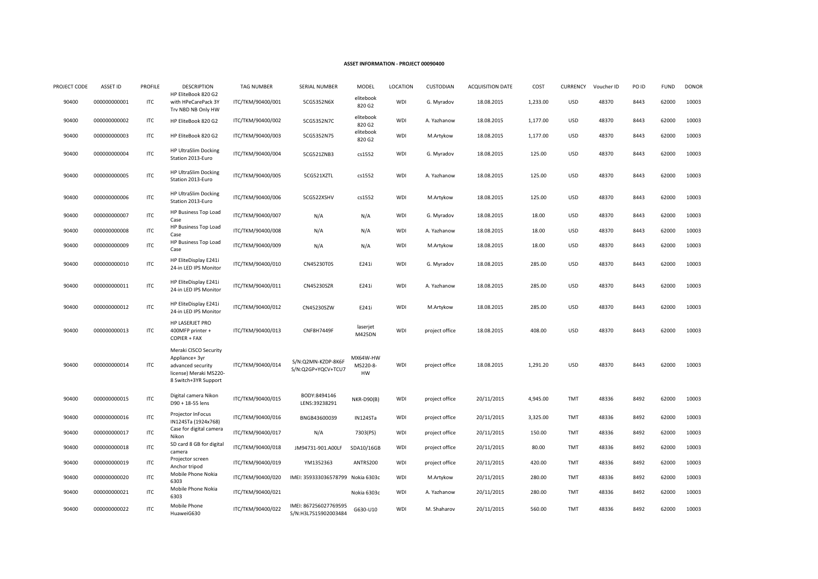#### **ASSET INFORMATION - PROJECT 00090400**

| PROJECT CODE | <b>ASSET ID</b> | <b>PROFILE</b> | <b>DESCRIPTION</b>                                                                                            | <b>TAG NUMBER</b> | <b>SERIAL NUMBER</b>                          | MODEL                      | <b>LOCATION</b> | CUSTODIAN      | <b>ACQUISITION DATE</b> | COST     | <b>CURRENCY</b> | Voucher ID | PO ID | <b>FUND</b> | <b>DONOR</b> |
|--------------|-----------------|----------------|---------------------------------------------------------------------------------------------------------------|-------------------|-----------------------------------------------|----------------------------|-----------------|----------------|-------------------------|----------|-----------------|------------|-------|-------------|--------------|
| 90400        | 000000000001    | ITC            | HP EliteBook 820 G2<br>with HPeCarePack 3Y<br>Trv NBD NB Only HW                                              | ITC/TKM/90400/001 | 5CG5352N6X                                    | elitebook<br>820 G2        | WDI             | G. Myradov     | 18.08.2015              | 1,233.00 | <b>USD</b>      | 48370      | 8443  | 62000       | 10003        |
| 90400        | 000000000002    | ITC            | HP EliteBook 820 G2                                                                                           | ITC/TKM/90400/002 | 5CG5352N7C                                    | elitebook<br>820 G2        | WDI             | A. Yazhanow    | 18.08.2015              | 1,177.00 | <b>USD</b>      | 48370      | 8443  | 62000       | 10003        |
| 90400        | 000000000003    | ITC            | HP EliteBook 820 G2                                                                                           | ITC/TKM/90400/003 | 5CG5352N75                                    | elitebook<br>820 G2        | WDI             | M.Artykow      | 18.08.2015              | 1,177.00 | <b>USD</b>      | 48370      | 8443  | 62000       | 10003        |
| 90400        | 000000000004    | <b>ITC</b>     | <b>HP UltraSlim Docking</b><br>Station 2013-Euro                                                              | ITC/TKM/90400/004 | 5CG521ZNB3                                    | cs1552                     | WDI             | G. Myradov     | 18.08.2015              | 125.00   | <b>USD</b>      | 48370      | 8443  | 62000       | 10003        |
| 90400        | 000000000005    | ITC            | <b>HP UltraSlim Docking</b><br>Station 2013-Euro                                                              | ITC/TKM/90400/005 | 5CG521XZTL                                    | cs1552                     | WDI             | A. Yazhanow    | 18.08.2015              | 125.00   | <b>USD</b>      | 48370      | 8443  | 62000       | 10003        |
| 90400        | 000000000006    | <b>ITC</b>     | <b>HP UltraSlim Docking</b><br>Station 2013-Euro                                                              | ITC/TKM/90400/006 | 5CG522XSHV                                    | cs1552                     | WDI             | M.Artykow      | 18.08.2015              | 125.00   | <b>USD</b>      | 48370      | 8443  | 62000       | 10003        |
| 90400        | 000000000007    | ITC            | HP Business Top Load<br>Case                                                                                  | ITC/TKM/90400/007 | N/A                                           | N/A                        | WDI             | G. Myradov     | 18.08.2015              | 18.00    | <b>USD</b>      | 48370      | 8443  | 62000       | 10003        |
| 90400        | 000000000008    | ITC            | HP Business Top Load<br>Case                                                                                  | ITC/TKM/90400/008 | N/A                                           | N/A                        | WDI             | A. Yazhanow    | 18.08.2015              | 18.00    | <b>USD</b>      | 48370      | 8443  | 62000       | 10003        |
| 90400        | 000000000009    | ITC            | HP Business Top Load<br>Case                                                                                  | ITC/TKM/90400/009 | N/A                                           | N/A                        | WDI             | M.Artykow      | 18.08.2015              | 18.00    | <b>USD</b>      | 48370      | 8443  | 62000       | 10003        |
| 90400        | 000000000010    | <b>ITC</b>     | HP EliteDisplay E241i<br>24-in LED IPS Monitor                                                                | ITC/TKM/90400/010 | CN45230T0S                                    | E241i                      | WDI             | G. Myradov     | 18.08.2015              | 285.00   | <b>USD</b>      | 48370      | 8443  | 62000       | 10003        |
| 90400        | 000000000011    | ITC            | HP EliteDisplay E241i<br>24-in LED IPS Monitor                                                                | ITC/TKM/90400/011 | CN45230SZR                                    | E241i                      | WDI             | A. Yazhanow    | 18.08.2015              | 285.00   | <b>USD</b>      | 48370      | 8443  | 62000       | 10003        |
| 90400        | 000000000012    | ITC            | HP EliteDisplay E241i<br>24-in LED IPS Monitor                                                                | ITC/TKM/90400/012 | CN45230SZW                                    | E241i                      | WDI             | M.Artykow      | 18.08.2015              | 285.00   | <b>USD</b>      | 48370      | 8443  | 62000       | 10003        |
| 90400        | 000000000013    | ITC            | HP LASERJET PRO<br>400MFP printer +<br>COPIER + FAX                                                           | ITC/TKM/90400/013 | <b>CNF8H7449F</b>                             | laserjet<br>M425DN         | WDI             | project office | 18.08.2015              | 408.00   | <b>USD</b>      | 48370      | 8443  | 62000       | 10003        |
| 90400        | 000000000014    | ITC            | Meraki CISCO Security<br>Appliance+3yr<br>advanced security<br>license) Meraki MS220-<br>8 Switch+3YR Support | ITC/TKM/90400/014 | S/N:Q2MN-KZDP-8K6F<br>S/N:Q2GP+YQCV+TCU7      | MX64W-HW<br>MS220-8-<br>HW | WDI             | project office | 18.08.2015              | 1,291.20 | <b>USD</b>      | 48370      | 8443  | 62000       | 10003        |
| 90400        | 000000000015    | <b>ITC</b>     | Digital camera Nikon<br>D90 + 18-55 lens                                                                      | ITC/TKM/90400/015 | BODY:8494146<br>LENS:39238291                 | <b>NKR-D90(B)</b>          | WDI             | project office | 20/11/2015              | 4,945.00 | TMT             | 48336      | 8492  | 62000       | 10003        |
| 90400        | 000000000016    | <b>ITC</b>     | Projector InFocus<br>IN124STa (1924x768)                                                                      | ITC/TKM/90400/016 | BNGB43600039                                  | IN124STa                   | WDI             | project office | 20/11/2015              | 3,325.00 | TMT             | 48336      | 8492  | 62000       | 10003        |
| 90400        | 000000000017    | <b>ITC</b>     | Case for digital camera<br>Nikon                                                                              | ITC/TKM/90400/017 | N/A                                           | 7303(PS)                   | WDI             | project office | 20/11/2015              | 150.00   | TMT             | 48336      | 8492  | 62000       | 10003        |
| 90400        | 000000000018    | <b>ITC</b>     | SD card 8 GB for digital<br>camera                                                                            | ITC/TKM/90400/018 | JM94731-901.A00LF                             | SDA10/16GB                 | WDI             | project office | 20/11/2015              | 80.00    | TMT             | 48336      | 8492  | 62000       | 10003        |
| 90400        | 000000000019    | ITC            | Projector screen<br>Anchor tripod                                                                             | ITC/TKM/90400/019 | YM1352363                                     | ANTRS200                   | WDI             | project office | 20/11/2015              | 420.00   | TMT             | 48336      | 8492  | 62000       | 10003        |
| 90400        | 000000000020    | <b>ITC</b>     | Mobile Phone Nokia<br>6303                                                                                    | ITC/TKM/90400/020 | IMEI: 359333036578799                         | Nokia 6303c                | WDI             | M.Artykow      | 20/11/2015              | 280.00   | TMT             | 48336      | 8492  | 62000       | 10003        |
| 90400        | 000000000021    | ITC            | Mobile Phone Nokia<br>6303                                                                                    | ITC/TKM/90400/021 |                                               | Nokia 6303c                | WDI             | A. Yazhanow    | 20/11/2015              | 280.00   | TMT             | 48336      | 8492  | 62000       | 10003        |
| 90400        | 000000000022    | ITC            | Mobile Phone<br>HuaweiG630                                                                                    | ITC/TKM/90400/022 | IMEI: 867256027769595<br>S/N:H3L7S15902003484 | G630-U10                   | WDI             | M. Shaharov    | 20/11/2015              | 560.00   | TMT             | 48336      | 8492  | 62000       | 10003        |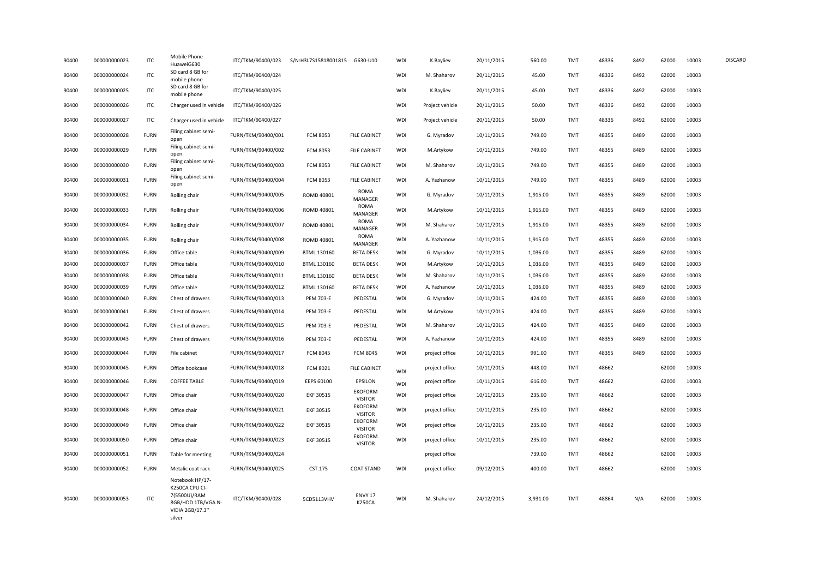| 90400 | 000000000023 | <b>ITC</b>  | Mobile Phone<br>HuaweiG630                                                                           | ITC/TKM/90400/023  | S/N:H3L7S15818001815 G630-U10 |                                  | WDI        | K.Bayliev       | 20/11/2015 | 560.00   | <b>TMT</b> | 48336 | 8492 | 62000 | 10003 | <b>DISCARD</b> |
|-------|--------------|-------------|------------------------------------------------------------------------------------------------------|--------------------|-------------------------------|----------------------------------|------------|-----------------|------------|----------|------------|-------|------|-------|-------|----------------|
| 90400 | 000000000024 | <b>ITC</b>  | SD card 8 GB for<br>mobile phone                                                                     | ITC/TKM/90400/024  |                               |                                  | WDI        | M. Shaharov     | 20/11/2015 | 45.00    | <b>TMT</b> | 48336 | 8492 | 62000 | 10003 |                |
| 90400 | 000000000025 | <b>ITC</b>  | SD card 8 GB for<br>mobile phone                                                                     | ITC/TKM/90400/025  |                               |                                  | <b>WDI</b> | K.Bayliev       | 20/11/2015 | 45.00    | <b>TMT</b> | 48336 | 8492 | 62000 | 10003 |                |
| 90400 | 000000000026 | <b>ITC</b>  | Charger used in vehicle                                                                              | ITC/TKM/90400/026  |                               |                                  | <b>WDI</b> | Project vehicle | 20/11/2015 | 50.00    | TMT        | 48336 | 8492 | 62000 | 10003 |                |
| 90400 | 000000000027 | <b>ITC</b>  | Charger used in vehicle                                                                              | ITC/TKM/90400/027  |                               |                                  | <b>WDI</b> | Project vehicle | 20/11/2015 | 50.00    | <b>TMT</b> | 48336 | 8492 | 62000 | 10003 |                |
| 90400 | 000000000028 | <b>FURN</b> | Filing cabinet semi-<br>open                                                                         | FURN/TKM/90400/001 | <b>FCM 8053</b>               | <b>FILE CABINET</b>              | <b>WDI</b> | G. Myradov      | 10/11/2015 | 749.00   | <b>TMT</b> | 48355 | 8489 | 62000 | 10003 |                |
| 90400 | 000000000029 | <b>FURN</b> | Filing cabinet semi-<br>open                                                                         | FURN/TKM/90400/002 | <b>FCM 8053</b>               | <b>FILE CABINET</b>              | WDI        | M.Artykow       | 10/11/2015 | 749.00   | <b>TMT</b> | 48355 | 8489 | 62000 | 10003 |                |
| 90400 | 000000000030 | <b>FURN</b> | Filing cabinet semi-<br>open                                                                         | FURN/TKM/90400/003 | <b>FCM 8053</b>               | <b>FILE CABINET</b>              | <b>WDI</b> | M. Shaharov     | 10/11/2015 | 749.00   | TMT        | 48355 | 8489 | 62000 | 10003 |                |
| 90400 | 000000000031 | <b>FURN</b> | Filing cabinet semi-<br>open                                                                         | FURN/TKM/90400/004 | <b>FCM 8053</b>               | <b>FILE CABINET</b>              | WDI        | A. Yazhanow     | 10/11/2015 | 749.00   | TMT        | 48355 | 8489 | 62000 | 10003 |                |
| 90400 | 000000000032 | <b>FURN</b> | Rolling chair                                                                                        | FURN/TKM/90400/005 | ROMD 40801                    | ROMA<br>MANAGER                  | <b>WDI</b> | G. Myradov      | 10/11/2015 | 1,915.00 | TMT        | 48355 | 8489 | 62000 | 10003 |                |
| 90400 | 000000000033 | <b>FURN</b> | Rolling chair                                                                                        | FURN/TKM/90400/006 | ROMD 40801                    | ROMA<br>MANAGER                  | WDI        | M.Artykow       | 10/11/2015 | 1,915.00 | TMT        | 48355 | 8489 | 62000 | 10003 |                |
| 90400 | 000000000034 | <b>FURN</b> | Rolling chair                                                                                        | FURN/TKM/90400/007 | ROMD 40801                    | <b>ROMA</b><br>MANAGER           | WDI        | M. Shaharov     | 10/11/2015 | 1,915.00 | TMT        | 48355 | 8489 | 62000 | 10003 |                |
| 90400 | 000000000035 | <b>FURN</b> | Rolling chair                                                                                        | FURN/TKM/90400/008 | ROMD 40801                    | <b>ROMA</b><br>MANAGER           | <b>WDI</b> | A. Yazhanow     | 10/11/2015 | 1,915.00 | TMT        | 48355 | 8489 | 62000 | 10003 |                |
| 90400 | 000000000036 | <b>FURN</b> | Office table                                                                                         | FURN/TKM/90400/009 | BTML 130160                   | <b>BETA DESK</b>                 | WDI        | G. Myradov      | 10/11/2015 | 1,036.00 | TMT        | 48355 | 8489 | 62000 | 10003 |                |
| 90400 | 000000000037 | <b>FURN</b> | Office table                                                                                         | FURN/TKM/90400/010 | BTML 130160                   | <b>BETA DESK</b>                 | <b>WDI</b> | M.Artykow       | 10/11/2015 | 1,036.00 | TMT        | 48355 | 8489 | 62000 | 10003 |                |
| 90400 | 000000000038 | <b>FURN</b> | Office table                                                                                         | FURN/TKM/90400/011 | BTML 130160                   | <b>BETA DESK</b>                 | WDI        | M. Shaharov     | 10/11/2015 | 1,036.00 | TMT        | 48355 | 8489 | 62000 | 10003 |                |
| 90400 | 000000000039 | <b>FURN</b> | Office table                                                                                         | FURN/TKM/90400/012 | BTML 130160                   | <b>BETA DESK</b>                 | WDI        | A. Yazhanow     | 10/11/2015 | 1,036.00 | <b>TMT</b> | 48355 | 8489 | 62000 | 10003 |                |
| 90400 | 000000000040 | <b>FURN</b> | Chest of drawers                                                                                     | FURN/TKM/90400/013 | <b>PEM 703-E</b>              | PEDESTAL                         | WDI        | G. Myradov      | 10/11/2015 | 424.00   | TMT        | 48355 | 8489 | 62000 | 10003 |                |
| 90400 | 000000000041 | <b>FURN</b> | Chest of drawers                                                                                     | FURN/TKM/90400/014 | <b>PEM 703-E</b>              | PEDESTAL                         | WDI        | M.Artykow       | 10/11/2015 | 424.00   | <b>TMT</b> | 48355 | 8489 | 62000 | 10003 |                |
| 90400 | 000000000042 | <b>FURN</b> | Chest of drawers                                                                                     | FURN/TKM/90400/015 | <b>PEM 703-E</b>              | PEDESTAL                         | WDI        | M. Shaharov     | 10/11/2015 | 424.00   | <b>TMT</b> | 48355 | 8489 | 62000 | 10003 |                |
| 90400 | 000000000043 | <b>FURN</b> | Chest of drawers                                                                                     | FURN/TKM/90400/016 | <b>PEM 703-E</b>              | PEDESTAL                         | <b>WDI</b> | A. Yazhanow     | 10/11/2015 | 424.00   | TMT        | 48355 | 8489 | 62000 | 10003 |                |
| 90400 | 000000000044 | <b>FURN</b> | File cabinet                                                                                         | FURN/TKM/90400/017 | <b>FCM 8045</b>               | <b>FCM 8045</b>                  | <b>WDI</b> | project office  | 10/11/2015 | 991.00   | <b>TMT</b> | 48355 | 8489 | 62000 | 10003 |                |
| 90400 | 000000000045 | <b>FURN</b> | Office bookcase                                                                                      | FURN/TKM/90400/018 | <b>FCM 8021</b>               | <b>FILE CABINET</b>              | <b>WDI</b> | project office  | 10/11/2015 | 448.00   | TMT        | 48662 |      | 62000 | 10003 |                |
| 90400 | 000000000046 | <b>FURN</b> | <b>COFFEE TABLE</b>                                                                                  | FURN/TKM/90400/019 | EEPS 60100                    | EPSILON                          | <b>WDI</b> | project office  | 10/11/2015 | 616.00   | TMT        | 48662 |      | 62000 | 10003 |                |
| 90400 | 000000000047 | <b>FURN</b> | Office chair                                                                                         | FURN/TKM/90400/020 | EKF 30515                     | EKOFORM<br><b>VISITOR</b>        | WDI        | project office  | 10/11/2015 | 235.00   | TMT        | 48662 |      | 62000 | 10003 |                |
| 90400 | 000000000048 | <b>FURN</b> | Office chair                                                                                         | FURN/TKM/90400/021 | EKF 30515                     | <b>EKOFORM</b><br><b>VISITOR</b> | <b>WDI</b> | project office  | 10/11/2015 | 235.00   | TMT        | 48662 |      | 62000 | 10003 |                |
| 90400 | 000000000049 | <b>FURN</b> | Office chair                                                                                         | FURN/TKM/90400/022 | EKF 30515                     | <b>EKOFORM</b><br><b>VISITOR</b> | <b>WDI</b> | project office  | 10/11/2015 | 235.00   | <b>TMT</b> | 48662 |      | 62000 | 10003 |                |
| 90400 | 000000000050 | <b>FURN</b> | Office chair                                                                                         | FURN/TKM/90400/023 | EKF 30515                     | <b>EKOFORM</b><br><b>VISITOR</b> | <b>WDI</b> | project office  | 10/11/2015 | 235.00   | <b>TMT</b> | 48662 |      | 62000 | 10003 |                |
| 90400 | 000000000051 | <b>FURN</b> | Table for meeting                                                                                    | FURN/TKM/90400/024 |                               |                                  |            | project office  |            | 739.00   | <b>TMT</b> | 48662 |      | 62000 | 10003 |                |
| 90400 | 000000000052 | <b>FURN</b> | Metalic coat rack                                                                                    | FURN/TKM/90400/025 | CST.175                       | <b>COAT STAND</b>                | <b>WDI</b> | project office  | 09/12/2015 | 400.00   | <b>TMT</b> | 48662 |      | 62000 | 10003 |                |
| 90400 | 000000000053 | <b>ITC</b>  | Notebook HP/17-<br>K250CA CPU CI-<br>7(5500U)/RAM<br>8GB/HDD 1TB/VGA N-<br>VIDIA 2GB/17.3"<br>silver | ITC/TKM/90400/028  | 5CD5113VHV                    | ENVY 17<br><b>K250CA</b>         | <b>WDI</b> | M. Shaharov     | 24/12/2015 | 3,931.00 | <b>TMT</b> | 48864 | N/A  | 62000 | 10003 |                |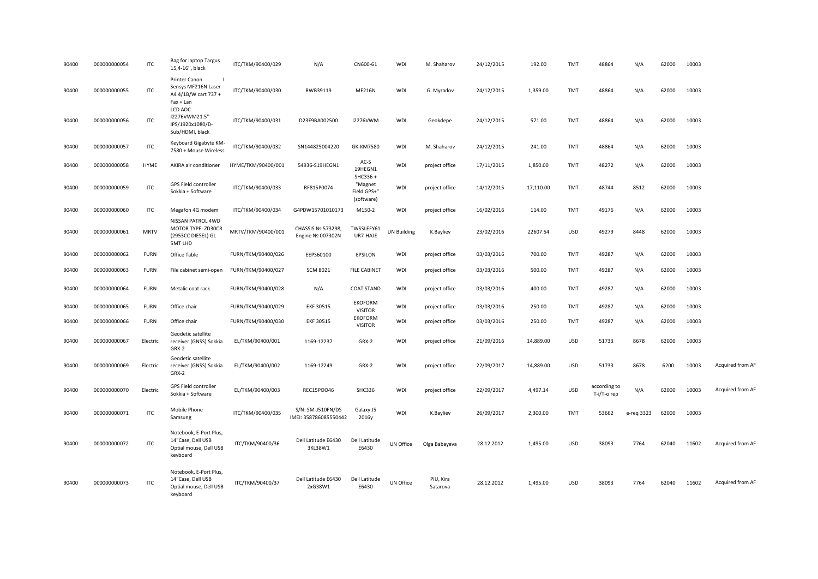| 90400 | 000000000054 | ITC         | Bag for laptop Targus<br>15,4-16", black                                                  | ITC/TKM/90400/029  | N/A                                        | CN600-61                             | <b>WDI</b>         | M. Shaharov           | 24/12/2015 | 192.00    | <b>TMT</b> | 48864                       | N/A        | 62000 | 10003 |                  |
|-------|--------------|-------------|-------------------------------------------------------------------------------------------|--------------------|--------------------------------------------|--------------------------------------|--------------------|-----------------------|------------|-----------|------------|-----------------------------|------------|-------|-------|------------------|
| 90400 | 000000000055 | <b>ITC</b>  | Printer Canon<br>$\mathbf{I}$<br>Sensys MF216N Laser<br>A4 4/1B/W cart 737 +<br>Fax + Lan | ITC/TKM/90400/030  | RWB39119                                   | <b>MF216N</b>                        | WDI                | G. Myradov            | 24/12/2015 | 1,359.00  | <b>TMT</b> | 48864                       | N/A        | 62000 | 10003 |                  |
| 90400 | 000000000056 | <b>ITC</b>  | LCD AOC<br>I2276VWM21.5"<br>IPS/1920x1080/D-<br>Sub/HDMI, black                           | ITC/TKM/90400/031  | D23E9BA002500                              | <b>I2276VWM</b>                      | WDI                | Geokdepe              | 24/12/2015 | 571.00    | <b>TMT</b> | 48864                       | N/A        | 62000 | 10003 |                  |
| 90400 | 000000000057 | <b>ITC</b>  | Keyboard Gigabyte KM-<br>7580 + Mouse Wireless                                            | ITC/TKM/90400/032  | SN144825004220                             | GK-KM7580                            | WDI                | M. Shaharov           | 24/12/2015 | 241.00    | <b>TMT</b> | 48864                       | N/A        | 62000 | 10003 |                  |
| 90400 | 000000000058 | <b>HYME</b> | AKIRA air conditioner                                                                     | HYME/TKM/90400/001 | 54936-S19HEGN1                             | AC-S<br>19HEGN1<br>SHC336+           | <b>WDI</b>         | project office        | 17/11/2015 | 1,850.00  | <b>TMT</b> | 48272                       | N/A        | 62000 | 10003 |                  |
| 90400 | 000000000059 | <b>ITC</b>  | GPS Field controller<br>Sokkia + Software                                                 | ITC/TKM/90400/033  | RF815P0074                                 | "Magnet<br>Field GPS+"<br>(software) | <b>WDI</b>         | project office        | 14/12/2015 | 17,110.00 | TMT        | 48744                       | 8512       | 62000 | 10003 |                  |
| 90400 | 000000000060 | ITC         | Megafon 4G modem                                                                          | ITC/TKM/90400/034  | G4PDW15701010173                           | M150-2                               | WDI                | project office        | 16/02/2016 | 114.00    | TMT        | 49176                       | N/A        | 62000 | 10003 |                  |
| 90400 | 000000000061 | <b>MRTV</b> | NISSAN PATROL 4WD<br>MOTOR TYPE: ZD30CR<br>(2953CC DIESEL) GL<br>5MT LHD                  | MRTV/TKM/90400/001 | CHASSIS Nº 573298,<br>Engine Nº 007302N    | TWSSLEFY61<br>UR7-HAJE               | <b>UN Building</b> | K.Bayliev             | 23/02/2016 | 22607.54  | <b>USD</b> | 49279                       | 8448       | 62000 | 10003 |                  |
| 90400 | 000000000062 | <b>FURN</b> | Office Table                                                                              | FURN/TKM/90400/026 | EEPS60100                                  | EPSILON                              | WDI                | project office        | 03/03/2016 | 700.00    | <b>TMT</b> | 49287                       | N/A        | 62000 | 10003 |                  |
| 90400 | 000000000063 | <b>FURN</b> | File cabinet semi-open                                                                    | FURN/TKM/90400/027 | <b>SCM 8021</b>                            | <b>FILE CABINET</b>                  | <b>WDI</b>         | project office        | 03/03/2016 | 500.00    | TMT        | 49287                       | N/A        | 62000 | 10003 |                  |
| 90400 | 000000000064 | <b>FURN</b> | Metalic coat rack                                                                         | FURN/TKM/90400/028 | N/A                                        | <b>COAT STAND</b>                    | WDI                | project office        | 03/03/2016 | 400.00    | <b>TMT</b> | 49287                       | N/A        | 62000 | 10003 |                  |
| 90400 | 000000000065 | <b>FURN</b> | Office chair                                                                              | FURN/TKM/90400/029 | EKF 30515                                  | <b>EKOFORM</b><br><b>VISITOR</b>     | <b>WDI</b>         | project office        | 03/03/2016 | 250.00    | <b>TMT</b> | 49287                       | N/A        | 62000 | 10003 |                  |
| 90400 | 000000000066 | <b>FURN</b> | Office chair                                                                              | FURN/TKM/90400/030 | <b>EKF 30515</b>                           | <b>EKOFORM</b><br><b>VISITOR</b>     | <b>WDI</b>         | project office        | 03/03/2016 | 250.00    | TMT        | 49287                       | N/A        | 62000 | 10003 |                  |
| 90400 | 000000000067 | Electric    | Geodetic satellite<br>receiver (GNSS) Sokkia<br>GRX-2                                     | EL/TKM/90400/001   | 1169-12237                                 | GRX-2                                | <b>WDI</b>         | project office        | 21/09/2016 | 14,889.00 | <b>USD</b> | 51733                       | 8678       | 62000 | 10003 |                  |
| 90400 | 000000000069 | Electric    | Geodetic satellite<br>receiver (GNSS) Sokkia<br>GRX-2                                     | EL/TKM/90400/002   | 1169-12249                                 | GRX-2                                | <b>WDI</b>         | project office        | 22/09/2017 | 14,889.00 | <b>USD</b> | 51733                       | 8678       | 6200  | 10003 | Acquired from AF |
| 90400 | 000000000070 | Electric    | GPS Field controller<br>Sokkia + Software                                                 | EL/TKM/90400/003   | REC15PO046                                 | SHC336                               | <b>WDI</b>         | project office        | 22/09/2017 | 4,497.14  | <b>USD</b> | according to<br>T-i/T-o rep | N/A        | 62000 | 10003 | Acquired from AF |
| 90400 | 000000000071 | <b>ITC</b>  | Mobile Phone<br>Samsung                                                                   | ITC/TKM/90400/035  | S/N: SM-J510FN/DS<br>IMEI: 358786085550442 | Galaxy J5<br>2016y                   | WDI                | K.Bayliev             | 26/09/2017 | 2,300.00  | <b>TMT</b> | 53662                       | e-req 3323 | 62000 | 10003 |                  |
| 90400 | 000000000072 | <b>ITC</b>  | Notebook, E-Port Plus,<br>14"Case, Dell USB<br>Optial mouse, Dell USB<br>keyboard         | ITC/TKM/90400/36   | Dell Latitude E6430<br>3KL38W1             | Dell Latitude<br>E6430               | UN Office          | Olga Babayeva         | 28.12.2012 | 1,495.00  | <b>USD</b> | 38093                       | 7764       | 62040 | 11602 | Acquired from AF |
| 90400 | 000000000073 | <b>ITC</b>  | Notebook, E-Port Plus,<br>14"Case, Dell USB<br>Optial mouse, Dell USB<br>keyboard         | ITC/TKM/90400/37   | Dell Latitude E6430<br>2xG38W1             | Dell Latitude<br>E6430               | UN Office          | PIU, Kira<br>Satarova | 28.12.2012 | 1,495.00  | <b>USD</b> | 38093                       | 7764       | 62040 | 11602 | Acquired from AF |